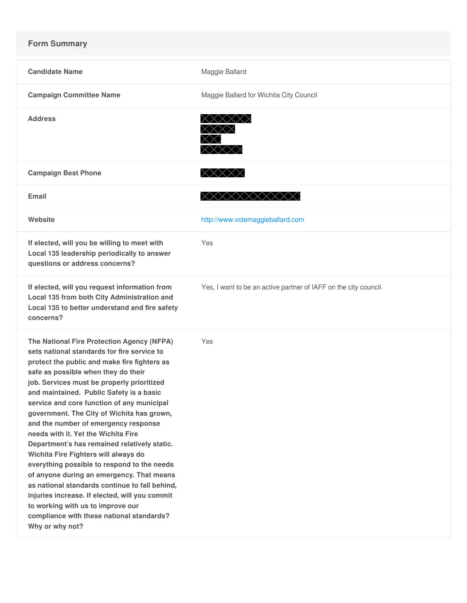## **Form Summary**

| <b>Candidate Name</b>                                                                                                                                                                                                                                                                                                                                                                                                                                                                                                                                                                                                                                                                                                                                                                                                                              | Maggie Ballard                                                   |
|----------------------------------------------------------------------------------------------------------------------------------------------------------------------------------------------------------------------------------------------------------------------------------------------------------------------------------------------------------------------------------------------------------------------------------------------------------------------------------------------------------------------------------------------------------------------------------------------------------------------------------------------------------------------------------------------------------------------------------------------------------------------------------------------------------------------------------------------------|------------------------------------------------------------------|
| <b>Campaign Committee Name</b>                                                                                                                                                                                                                                                                                                                                                                                                                                                                                                                                                                                                                                                                                                                                                                                                                     | Maggie Ballard for Wichita City Council                          |
| <b>Address</b>                                                                                                                                                                                                                                                                                                                                                                                                                                                                                                                                                                                                                                                                                                                                                                                                                                     | XXXXXX                                                           |
| <b>Campaign Best Phone</b>                                                                                                                                                                                                                                                                                                                                                                                                                                                                                                                                                                                                                                                                                                                                                                                                                         | XXXXX                                                            |
| <b>Email</b>                                                                                                                                                                                                                                                                                                                                                                                                                                                                                                                                                                                                                                                                                                                                                                                                                                       |                                                                  |
| Website                                                                                                                                                                                                                                                                                                                                                                                                                                                                                                                                                                                                                                                                                                                                                                                                                                            | http://www.votemaggieballard.com                                 |
| If elected, will you be willing to meet with<br>Local 135 leadership periodically to answer<br>questions or address concerns?                                                                                                                                                                                                                                                                                                                                                                                                                                                                                                                                                                                                                                                                                                                      | Yes                                                              |
| If elected, will you request information from<br>Local 135 from both City Administration and<br>Local 135 to better understand and fire safety<br>concerns?                                                                                                                                                                                                                                                                                                                                                                                                                                                                                                                                                                                                                                                                                        | Yes, I want to be an active partner of IAFF on the city council. |
| The National Fire Protection Agency (NFPA)<br>sets national standards for fire service to<br>protect the public and make fire fighters as<br>safe as possible when they do their<br>job. Services must be properly prioritized<br>and maintained. Public Safety is a basic<br>service and core function of any municipal<br>government. The City of Wichita has grown,<br>and the number of emergency response<br>needs with it. Yet the Wichita Fire<br>Department's has remained relatively static.<br>Wichita Fire Fighters will always do<br>everything possible to respond to the needs<br>of anyone during an emergency. That means<br>as national standards continue to fall behind,<br>injuries increase. If elected, will you commit<br>to working with us to improve our<br>compliance with these national standards?<br>Why or why not? | Yes                                                              |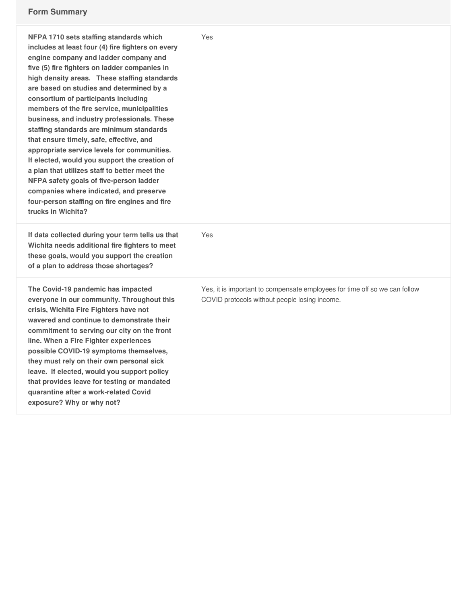| NFPA 1710 sets staffing standards which<br>includes at least four (4) fire fighters on every<br>engine company and ladder company and<br>five (5) fire fighters on ladder companies in<br>high density areas. These staffing standards<br>are based on studies and determined by a<br>consortium of participants including<br>members of the fire service, municipalities<br>business, and industry professionals. These<br>staffing standards are minimum standards<br>that ensure timely, safe, effective, and<br>appropriate service levels for communities.<br>If elected, would you support the creation of<br>a plan that utilizes staff to better meet the<br>NFPA safety goals of five-person ladder<br>companies where indicated, and preserve<br>four-person staffing on fire engines and fire<br>trucks in Wichita? | Yes                                                                                                                         |
|--------------------------------------------------------------------------------------------------------------------------------------------------------------------------------------------------------------------------------------------------------------------------------------------------------------------------------------------------------------------------------------------------------------------------------------------------------------------------------------------------------------------------------------------------------------------------------------------------------------------------------------------------------------------------------------------------------------------------------------------------------------------------------------------------------------------------------|-----------------------------------------------------------------------------------------------------------------------------|
| If data collected during your term tells us that<br>Wichita needs additional fire fighters to meet<br>these goals, would you support the creation<br>of a plan to address those shortages?                                                                                                                                                                                                                                                                                                                                                                                                                                                                                                                                                                                                                                     | Yes                                                                                                                         |
| The Covid-19 pandemic has impacted<br>everyone in our community. Throughout this<br>crisis, Wichita Fire Fighters have not<br>wavered and continue to demonstrate their<br>commitment to serving our city on the front<br>line. When a Fire Fighter experiences<br>possible COVID-19 symptoms themselves,<br>they must rely on their own personal sick<br>leave. If elected, would you support policy<br>that provides leave for testing or mandated<br>quarantine after a work-related Covid<br>exposure? Why or why not?                                                                                                                                                                                                                                                                                                     | Yes, it is important to compensate employees for time off so we can follow<br>COVID protocols without people losing income. |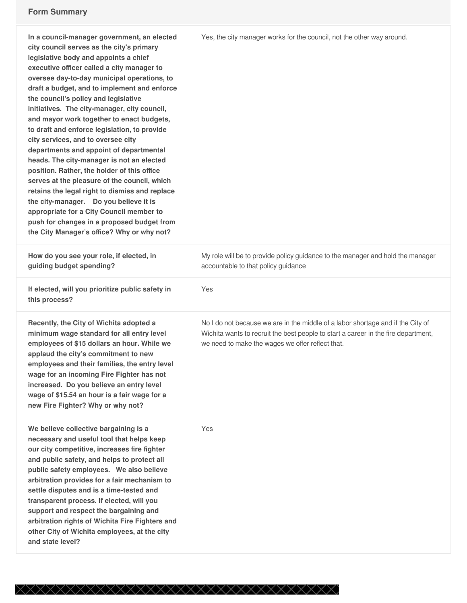| In a council-manager government, an elected<br>city council serves as the city's primary<br>legislative body and appoints a chief<br>executive officer called a city manager to<br>oversee day-to-day municipal operations, to<br>draft a budget, and to implement and enforce<br>the council's policy and legislative<br>initiatives. The city-manager, city council,<br>and mayor work together to enact budgets,<br>to draft and enforce legislation, to provide<br>city services, and to oversee city<br>departments and appoint of departmental<br>heads. The city-manager is not an elected<br>position. Rather, the holder of this office<br>serves at the pleasure of the council, which<br>retains the legal right to dismiss and replace<br>the city-manager. Do you believe it is<br>appropriate for a City Council member to<br>push for changes in a proposed budget from<br>the City Manager's office? Why or why not? | Yes, the city manager works for the council, not the other way around.                                                                                                                                                    |
|--------------------------------------------------------------------------------------------------------------------------------------------------------------------------------------------------------------------------------------------------------------------------------------------------------------------------------------------------------------------------------------------------------------------------------------------------------------------------------------------------------------------------------------------------------------------------------------------------------------------------------------------------------------------------------------------------------------------------------------------------------------------------------------------------------------------------------------------------------------------------------------------------------------------------------------|---------------------------------------------------------------------------------------------------------------------------------------------------------------------------------------------------------------------------|
| How do you see your role, if elected, in<br>guiding budget spending?                                                                                                                                                                                                                                                                                                                                                                                                                                                                                                                                                                                                                                                                                                                                                                                                                                                                 | My role will be to provide policy guidance to the manager and hold the manager<br>accountable to that policy guidance                                                                                                     |
| If elected, will you prioritize public safety in<br>this process?                                                                                                                                                                                                                                                                                                                                                                                                                                                                                                                                                                                                                                                                                                                                                                                                                                                                    | Yes                                                                                                                                                                                                                       |
| Recently, the City of Wichita adopted a<br>minimum wage standard for all entry level<br>employees of \$15 dollars an hour. While we<br>applaud the city's commitment to new<br>employees and their families, the entry level<br>wage for an incoming Fire Fighter has not<br>increased. Do you believe an entry level<br>wage of \$15.54 an hour is a fair wage for a<br>new Fire Fighter? Why or why not?                                                                                                                                                                                                                                                                                                                                                                                                                                                                                                                           | No I do not because we are in the middle of a labor shortage and if the City of<br>Wichita wants to recruit the best people to start a career in the fire department,<br>we need to make the wages we offer reflect that. |
| We believe collective bargaining is a<br>necessary and useful tool that helps keep<br>our city competitive, increases fire fighter<br>and public safety, and helps to protect all<br>public safety employees. We also believe<br>arbitration provides for a fair mechanism to<br>settle disputes and is a time-tested and<br>transparent process. If elected, will you<br>support and respect the bargaining and<br>arbitration rights of Wichita Fire Fighters and<br>other City of Wichita employees, at the city<br>and state level?                                                                                                                                                                                                                                                                                                                                                                                              | Yes                                                                                                                                                                                                                       |

XXXXXXXXXXXXXXXXXXXXXXXXXXXXXXX